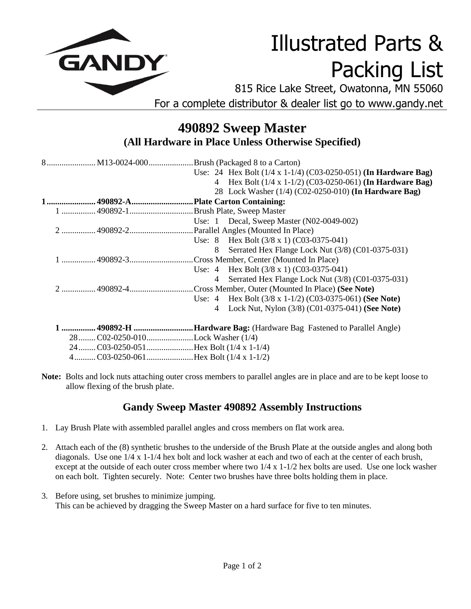

## Illustrated Parts & Packing List

815 Rice Lake Street, Owatonna, MN 55060 For a complete distributor & dealer list go to www.gandy.net

## **490892 Sweep Master (All Hardware in Place Unless Otherwise Specified)**

| 8 M13-0024-000Brush (Packaged 8 to a Carton) |                                                                     |
|----------------------------------------------|---------------------------------------------------------------------|
|                                              | Use: 24 Hex Bolt $(1/4 x 1-1/4)$ (C03-0250-051) (In Hardware Bag)   |
|                                              | 4 Hex Bolt (1/4 x 1-1/2) (C03-0250-061) (In Hardware Bag)           |
|                                              | 28 Lock Washer (1/4) (C02-0250-010) (In Hardware Bag)               |
| 1 490892-APlate Carton Containing:           |                                                                     |
|                                              |                                                                     |
|                                              | Use: 1 Decal, Sweep Master $(N02-0049-002)$                         |
|                                              |                                                                     |
|                                              | Use: 8 Hex Bolt $(3/8 \times 1)$ $(C03-0375-041)$                   |
|                                              | 8 Serrated Hex Flange Lock Nut (3/8) (C01-0375-031)                 |
|                                              | 1  490892-3 Cross Member, Center (Mounted In Place)                 |
|                                              | Use: $4$ Hex Bolt $(3/8 \times 1)$ $(C03-0375-041)$                 |
|                                              | 4 Serrated Hex Flange Lock Nut (3/8) (C01-0375-031)                 |
|                                              | 2  490892-4 Cross Member, Outer (Mounted In Place) (See Note)       |
|                                              | Use: $4$ Hex Bolt $(3/8 \times 1-1/2)$ (C03-0375-061) (See Note)    |
|                                              | 4 Lock Nut, Nylon (3/8) (C01-0375-041) (See Note)                   |
|                                              | 1  490892-H Hardware Bag: (Hardware Bag Fastened to Parallel Angle) |
| 28  C02-0250-010 Lock Washer (1/4)           |                                                                     |
|                                              |                                                                     |
| 4C03-0250-061Hex Bolt (1/4 x 1-1/2)          |                                                                     |

**Note:** Bolts and lock nuts attaching outer cross members to parallel angles are in place and are to be kept loose to allow flexing of the brush plate.

## **Gandy Sweep Master 490892 Assembly Instructions**

- 1. Lay Brush Plate with assembled parallel angles and cross members on flat work area.
- 2. Attach each of the (8) synthetic brushes to the underside of the Brush Plate at the outside angles and along both diagonals. Use one 1/4 x 1-1/4 hex bolt and lock washer at each and two of each at the center of each brush, except at the outside of each outer cross member where two 1/4 x 1-1/2 hex bolts are used. Use one lock washer on each bolt. Tighten securely. Note: Center two brushes have three bolts holding them in place.
- 3. Before using, set brushes to minimize jumping. This can be achieved by dragging the Sweep Master on a hard surface for five to ten minutes.